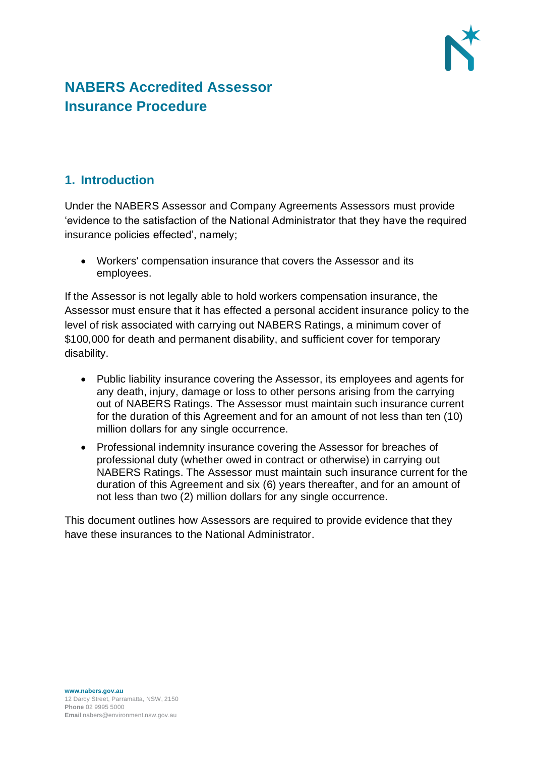

## **NABERS Accredited Assessor Insurance Procedure**

## **1. Introduction**

Under the NABERS Assessor and Company Agreements Assessors must provide 'evidence to the satisfaction of the National Administrator that they have the required insurance policies effected', namely;

• Workers' compensation insurance that covers the Assessor and its employees.

If the Assessor is not legally able to hold workers compensation insurance, the Assessor must ensure that it has effected a personal accident insurance policy to the level of risk associated with carrying out NABERS Ratings, a minimum cover of \$100,000 for death and permanent disability, and sufficient cover for temporary disability.

- Public liability insurance covering the Assessor, its employees and agents for any death, injury, damage or loss to other persons arising from the carrying out of NABERS Ratings. The Assessor must maintain such insurance current for the duration of this Agreement and for an amount of not less than ten (10) million dollars for any single occurrence.
- Professional indemnity insurance covering the Assessor for breaches of professional duty (whether owed in contract or otherwise) in carrying out NABERS Ratings. The Assessor must maintain such insurance current for the duration of this Agreement and six (6) years thereafter, and for an amount of not less than two (2) million dollars for any single occurrence.

This document outlines how Assessors are required to provide evidence that they have these insurances to the National Administrator.